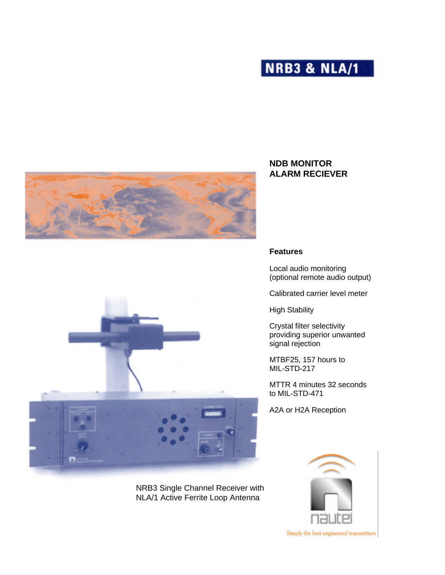





NRB3 Single Channel Receiver with NLA/1 Active Ferrite Loop Antenna

# **NDB MONITOR ALARM RECIEVER**

## **Features**

Local audio monitoring (optional remote audio output)

Calibrated carrier level meter

High Stability

Crystal filter selectivity providing superior unwanted signal rejection

MTBF25, 157 hours to MIL-STD-217

MTTR 4 minutes 32 seconds to MIL-STD-471

A2A or H2A Reception